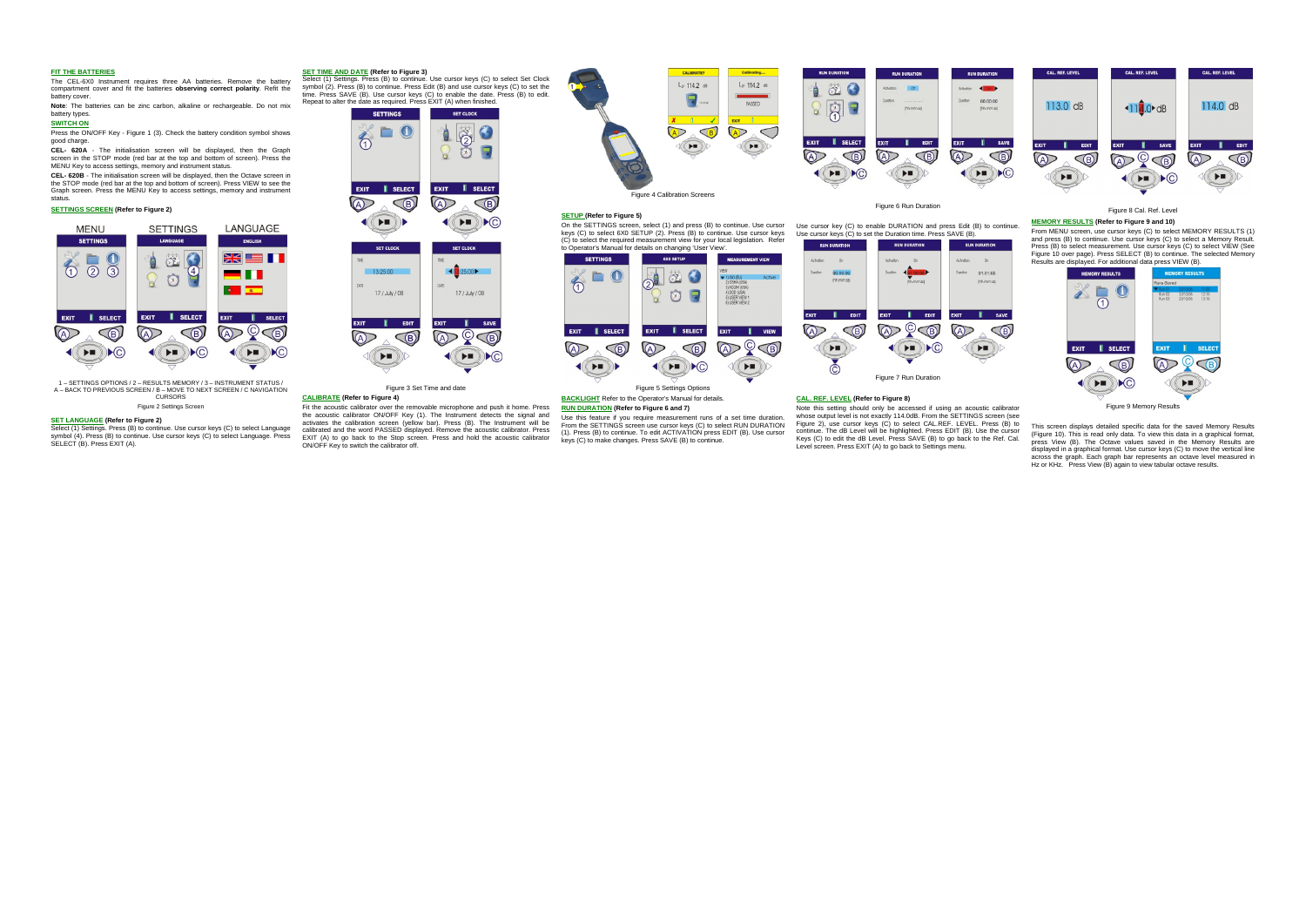### **FIT THE BATTERIES**

 The CEL-6X0 Instrument requires three AA batteries. Remove the battery compartment cover and fit the batteries **observing correct polarity**. Refit the

battery cover. **Note**: The batteries can be zinc carbon, alkaline or rechargeable. Do not mix battery types.

# **SWITCH ON**

Press the ON/OFF Key - Figure 1 (3). Check the battery condition symbol shows good charge.

**CEL- 620A** - The initialisation screen will be displayed, then the Graph screen in the STOP mode (red bar at the top and bottom of screen). Press the MENU Key to access settings, memory and instrument status.

**SET LANGUAGE (Refer to Figure 2)**  Select (1) Settings. Press (B) to continue. Use cursor keys (C) to select Language symbol (4). Press (B) to continue. Use cursor keys (C) to select Language. Press SELECT (B). Press EXIT (A).

**CEL- 620B** - The initialisation screen will be displayed, then the Octave screen in the STOP mode (red bar at the top and bottom of screen). Press VIEW to see the Graph screen. Press the MENU Key to access settings, memory and instrument status.

# **SETTINGS SCREEN (Refer to Figure 2)**

#### LANGUAGE **SETTINGS MENU SETTINGS** LANGUAGE **ENGLISH** 立日 **XK ET**  $\overline{\circ}$  $\bigcirc$  $\overline{3}$ - 11  $\mathbb{S}$ **OF STREET** EXIT | SELECT EXIT | SELECT EXIT I **SELECT**  $\bigcirc$  $\circledR$  $\bigcirc$  $\bigcirc \bigcirc \bigcirc$  $\circledR$  $\blacklozenge(\blacktriangleright\blacksquare)\blacktriangleright\textcircled{C}$  $\bigoplus_{i=1}^n \bigoplus_{i=1}^n \bigoplus_{i=1}^n \bigoplus_{i=1}^n \bigoplus_{i=1}^n \bigoplus_{i=1}^n \bigoplus_{i=1}^n \bigoplus_{i=1}^n \bigoplus_{i=1}^n \bigoplus_{i=1}^n \bigoplus_{i=1}^n \bigoplus_{i=1}^n \bigoplus_{i=1}^n \bigoplus_{i=1}^n \bigoplus_{i=1}^n \bigoplus_{i=1}^n \bigoplus_{i=1}^n \bigoplus_{i=1}^n \bigoplus_{i=1}^n \bigoplus_{i=1}^n$  $\blacklozenge$

1 – SETTINGS OPTIONS / 2 – RESULTS MEMORY / 3 – INSTRUMENT STATUS / A – BACK TO PREVIOUS SCREEN / B – MOVE TO NEXT SCREEN / C NAVIGATION CURSORS

#### Figure 2 Settings Screen

On the SETTINGS screen, select (1) and press (B) to continue. Use cursor<br>keys (C) to select 6X0 SETUP (2). Press (B) to continue. Use cursor keys<br>(C) to select the required measurement view for your local legislation. Refe to Operator's Manual for details on changing 'User View'.



Use cursor key (C) to enable DURATION and press Edit (B) to continue. Use cursor keys (C) to set the Duration time. Press SAVE (B). **RUN DURATION RUN DURATION RUN DURATION** Activation:  $n$ 

**SET TIME AND DATE (Refer to Figure 3)**  Select (1) Settings. Press (B) to continue. Use cursor keys (C) to select Set Clock symbol (2). Press (B) to continue. Press Edit (B) and use cursor keys (C) to set the time. Press SAVE (B). Use cursor keys (C) to enable the date. Press (B) to edit. Repeat to alter the date as required. Press EXIT (A) when finished.



Figure 3 Set Time and date

### **CALIBRATE (Refer to Figure 4)**

Fit the acoustic calibrator over the removable microphone and push it home. Press the acoustic calibrator ON/OFF Key (1). The Instrument detects the signal and activates the calibration screen (yellow bar). Press (B). The Instrument will be calibrated and the word PASSED displayed. Remove the acoustic calibrator. Press EXIT (A) to go back to the Stop screen. Press and hold the acoustic calibrator ON/OFF Key to switch the calibrator off.



**SETUP (Refer to Figure 5)**

Figure 5 Settings Options **BACKLIGHT** Refer to the Operator's Manual for details.

**RUN DURATION (Refer to Figure 6 and 7)** 

Use this feature if you require measurement runs of a set time duration. From the SETTINGS screen use cursor keys (C) to select RUN DURATION (1). Press (B) to continue. To edit ACTIVATION press EDIT (B). Use cursor keys (C) to make changes. Press SAVE (B) to continue.

Figure 6 Run Duration

 $(1)$ 

**PUN NURATION** 

mannis

 $F_{\text{DIT}}$ 

 $\bigcirc$ 

bieton

**EXIT** 

 $\circledR$ 



**CAL. REF. LEVEL (Refer to Figure 8)** 

Note this setting should only be accessed if using an acoustic calibrator whose output level is not exactly 114.0dB. From the SETTINGS screen (see Figure 2), use cursor keys (C) to select CAL.REF. LEVEL. Press (B) to continue. The dB Level will be highlighted. Press EDIT (B). Use the cursor Keys (C) to edit the dB Level. Press SAVE (B) to go back to the Ref. Cal. Level screen. Press EXIT (A) to go back to Settings menu.



Figure 8 Cal. Ref. Level

**MEMORY RESULTS (Refer to Figure 9 and 10)**  From MENU screen, use cursor keys (C) to select MEMORY RESULTS (1) and press (B) to continue. Use cursor keys (C) to select a Memory Result. Press (B) to select measurement. Use cursor keys (C) to select VIEW (See Figure 10 over page). Press SELECT (B) to continue. The selected Memory Results are displayed. For additional data press VIEW (B).



Figure 9 Memory Results

This screen displays detailed specific data for the saved Memory Results (Figure 10). This is read only data. To view this data in a graphical format, press View (B). The Octave values saved in the Memory Results are displayed in a graphical format. Use cursor keys (C) to move the vertical line across the graph. Each graph bar represents an octave level measured in Hz or KHz. Press View (B) again to view tabular octave results.